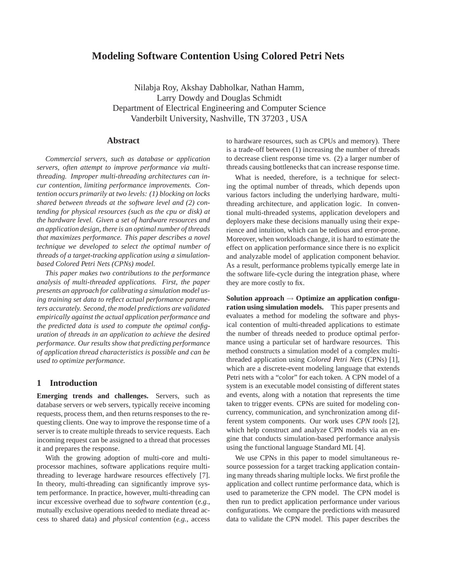# **Modeling Software Contention Using Colored Petri Nets**

Nilabja Roy, Akshay Dabholkar, Nathan Hamm, Larry Dowdy and Douglas Schmidt Department of Electrical Engineering and Computer Science Vanderbilt University, Nashville, TN 37203 , USA

# **Abstract**

*Commercial servers, such as database or application servers, often attempt to improve performance via multithreading. Improper multi-threading architectures can incur contention, limiting performance improvements. Contention occurs primarily at two levels: (1) blocking on locks shared between threads at the software level and (2) contending for physical resources (such as the cpu or disk) at the hardware level. Given a set of hardware resources and an application design, there is an optimal number of threads that maximizes performance. This paper describes a novel technique we developed to select the optimal number of threads of a target-tracking application using a simulationbased Colored Petri Nets (CPNs) model.*

*This paper makes two contributions to the performance analysis of multi-threaded applications. First, the paper presents an approach for calibrating a simulation model using training set data to reflect actual performance parameters accurately. Second, the model predictions are validated empirically against the actual application performance and the predicted data is used to compute the optimal configuration of threads in an application to achieve the desired performance. Our results show that predicting performance of application thread characteristics is possible and can be used to optimize performance.*

## **1 Introduction**

**Emerging trends and challenges.** Servers, such as database servers or web servers, typically receive incoming requests, process them, and then returns responses to the requesting clients. One way to improve the response time of a server is to create multiple threads to service requests. Each incoming request can be assigned to a thread that processes it and prepares the response.

With the growing adoption of multi-core and multiprocessor machines, software applications require multithreading to leverage hardware resources effectively [7]. In theory, multi-threading can significantly improve system performance. In practice, however, multi-threading can incur excessive overhead due to *software contention* (*e.g.*, mutually exclusive operations needed to mediate thread access to shared data) and *physical contention* (*e.g.*, access to hardware resources, such as CPUs and memory). There is a trade-off between (1) increasing the number of threads to decrease client response time vs. (2) a larger number of threads causing bottlenecks that can increase response time.

What is needed, therefore, is a technique for selecting the optimal number of threads, which depends upon various factors including the underlying hardware, multithreading architecture, and application logic. In conventional multi-threaded systems, application developers and deployers make these decisions manually using their experience and intuition, which can be tedious and error-prone. Moreover, when workloads change, it is hard to estimate the effect on application performance since there is no explicit and analyzable model of application component behavior. As a result, performance problems typically emerge late in the software life-cycle during the integration phase, where they are more costly to fix.

**Solution approach** → **Optimize an application configuration using simulation models.** This paper presents and evaluates a method for modeling the software and physical contention of multi-threaded applications to estimate the number of threads needed to produce optimal performance using a particular set of hardware resources. This method constructs a simulation model of a complex multithreaded application using *Colored Petri Nets* (CPNs) [1], which are a discrete-event modeling language that extends Petri nets with a "color" for each token. A CPN model of a system is an executable model consisting of different states and events, along with a notation that represents the time taken to trigger events. CPNs are suited for modeling concurrency, communication, and synchronization among different system components. Our work uses *CPN tools* [2], which help construct and analyze CPN models via an engine that conducts simulation-based performance analysis using the functional language Standard ML [4].

We use CPNs in this paper to model simultaneous resource possession for a target tracking application containing many threads sharing multiple locks. We first profile the application and collect runtime performance data, which is used to parameterize the CPN model. The CPN model is then run to predict application performance under various configurations. We compare the predictions with measured data to validate the CPN model. This paper describes the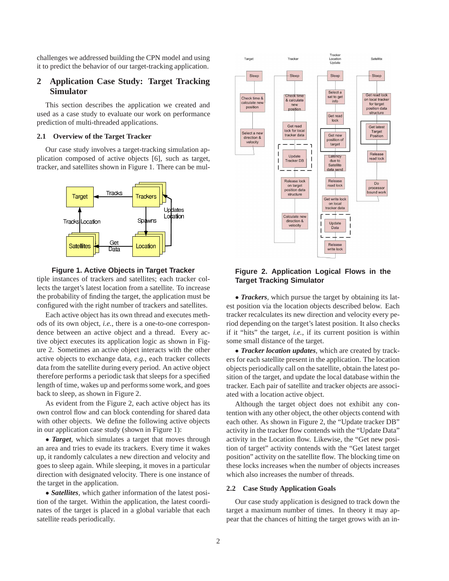challenges we addressed building the CPN model and using it to predict the behavior of our target-tracking application.

# **2 Application Case Study: Target Tracking Simulator**

This section describes the application we created and used as a case study to evaluate our work on performance prediction of multi-threaded applications.

#### **2.1 Overview of the Target Tracker**

Our case study involves a target-tracking simulation application composed of active objects [6], such as target, tracker, and satellites shown in Figure 1. There can be mul-





tiple instances of trackers and satellites; each tracker collects the target's latest location from a satellite. To increase the probability of finding the target, the application must be configured with the right number of trackers and satellites.

Each active object has its own thread and executes methods of its own object, *i.e.*, there is a one-to-one correspondence between an active object and a thread. Every active object executes its application logic as shown in Figure 2. Sometimes an active object interacts with the other active objects to exchange data, *e.g.*, each tracker collects data from the satellite during every period. An active object therefore performs a periodic task that sleeps for a specified length of time, wakes up and performs some work, and goes back to sleep, as shown in Figure 2.

As evident from the Figure 2, each active object has its own control flow and can block contending for shared data with other objects. We define the following active objects in our application case study (shown in Figure 1):

• *Target*, which simulates a target that moves through an area and tries to evade its trackers. Every time it wakes up, it randomly calculates a new direction and velocity and goes to sleep again. While sleeping, it moves in a particular direction with designated velocity. There is one instance of the target in the application.

• *Satellites,* which gather information of the latest position of the target. Within the application, the latest coordinates of the target is placed in a global variable that each satellite reads periodically.



## **Figure 2. Application Logical Flows in the Target Tracking Simulator**

• *Trackers,* which pursue the target by obtaining its latest position via the location objects described below. Each tracker recalculates its new direction and velocity every period depending on the target's latest position. It also checks if it "hits" the target, *i.e.*, if its current position is within some small distance of the target.

• *Tracker location updates,* which are created by trackers for each satellite present in the application. The location objects periodically call on the satellite, obtain the latest position of the target, and update the local database within the tracker. Each pair of satellite and tracker objects are associated with a location active object.

Although the target object does not exhibit any contention with any other object, the other objects contend with each other. As shown in Figure 2, the "Update tracker DB" activity in the tracker flow contends with the "Update Data" activity in the Location flow. Likewise, the "Get new position of target" activity contends with the "Get latest target position" activity on the satellite flow. The blocking time on these locks increases when the number of objects increases which also increases the number of threads.

## **2.2 Case Study Application Goals**

Our case study application is designed to track down the target a maximum number of times. In theory it may appear that the chances of hitting the target grows with an in-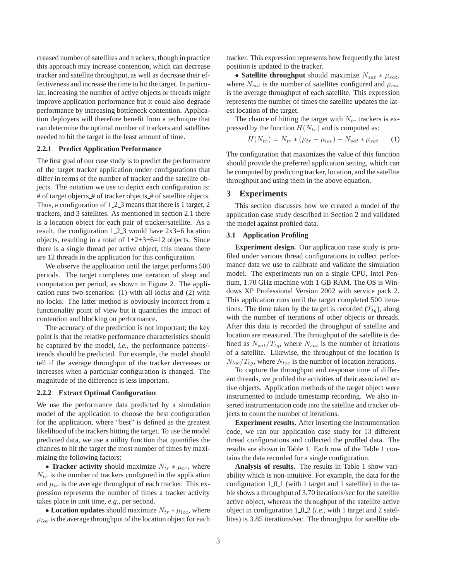creased number of satellites and trackers, though in practice this approach may increase contention, which can decrease tracker and satellite throughput, as well as decrease their effectiveness and increase the time to hit the target. In particular, increasing the number of active objects or threads might improve application performance but it could also degrade performance by increasing bottleneck contention. Application deployers will therefore benefit from a technique that can determine the optimal number of trackers and satellites needed to hit the target in the least amount of time.

#### **2.2.1 Predict Application Performance**

The first goal of our case study is to predict the performance of the target tracker application under configurations that differ in terms of the number of tracker and the satellite objects. The notation we use to depict each configuration is: # of target objects\_# of tracker objects\_# of satellite objects. Thus, a configuration of  $1 \, 2 \, 3$  means that there is 1 target, 2 trackers, and 3 satellites. As mentioned in section 2.1 there is a location object for each pair of tracker/satellite. As a result, the configuration  $1.2.3$  would have  $2x3=6$  location objects, resulting in a total of  $1+2+3+6=12$  objects. Since there is a single thread per active object, this means there are 12 threads in the application for this configuration.

We observe the application until the target performs 500 periods. The target completes one iteration of sleep and computation per period, as shown in Figure 2. The application runs two scenarios: (1) with all locks and (2) with no locks. The latter method is obviously incorrect from a functionality point of view but it quantifies the impact of contention and blocking on performance.

The accuracy of the prediction is not important; the key point is that the relative performance characteristics should be captured by the model, *i.e.*, the performance patterns/ trends should be predicted. For example, the model should tell if the average throughput of the tracker decreases or increases when a particular configuration is changed. The magnitude of the difference is less important.

#### **2.2.2 Extract Optimal Configuration**

We use the performance data predicted by a simulation model of the application to choose the best configuration for the application, where "best" is defined as the greatest likelihood of the trackers hitting the target. To use the model predicted data, we use a utility function that quantifies the chances to hit the target the most number of times by maximizing the following factors:

• **Tracker activity** should maximize  $N_{tr} * \mu_{tr}$ , where  $N_{tr}$  is the number of trackers configured in the application and  $\mu_{tr}$  is the average throughput of each tracker. This expression represents the number of times a tracker activity takes place in unit time, *e.g.*, per second.

• **Location updates** should maximize  $N_{tr} * \mu_{loc}$ , where  $\mu_{loc}$  is the average throughput of the location object for each tracker. This expression represents how frequently the latest position is updated to the tracker.

• **Satellite throughput** should maximize  $N_{sat} * \mu_{sat}$ , where  $N_{sat}$  is the number of satellites configured and  $\mu_{sat}$ is the average throughput of each satellite. This expression represents the number of times the satellite updates the latest location of the target.

The chance of hitting the target with  $N_{tr}$  trackers is expressed by the function  $H(N_{tr})$  and is computed as:

$$
H(N_{tr}) = N_{tr} * (\mu_{tr} + \mu_{loc}) + N_{sat} * \mu_{sat}
$$
 (1)

The configuration that maximizes the value of this function should provide the preferred application setting, which can be computed by predicting tracker, location, and the satellite throughput and using them in the above equation.

## **3 Experiments**

This section discusses how we created a model of the application case study described in Section 2 and validated the model against profiled data.

#### **3.1 Application Profiling**

**Experiment design.** Our application case study is profiled under various thread configurations to collect performance data we use to calibrate and validate the simulation model. The experiments run on a single CPU, Intel Pentium, 1.70 GHz machine with 1 GB RAM. The OS is Windows XP Professional Version 2002 with service pack 2. This application runs until the target completed 500 iterations. The time taken by the target is recorded  $(T_{tq})$ , along with the number of iterations of other objects or threads. After this data is recorded the throughput of satellite and location are measured. The throughput of the satellite is defined as  $N_{sat}/T_{tg}$ , where  $N_{sat}$  is the number of iterations of a satellite. Likewise, the throughput of the location is  $N_{loc}/T_{tg}$ , where  $N_{loc}$  is the number of location iterations.

To capture the throughput and response time of different threads, we profiled the activities of their associated active objects. Application methods of the target object were instrumented to include timestamp recording. We also inserted instrumentation code into the satellite and tracker objects to count the number of iterations.

**Experiment results.** After inserting the instrumentation code, we ran our application case study for 13 different thread configurations and collected the profiled data. The results are shown in Table 1. Each row of the Table 1 contains the data recorded for a single configuration.

**Analysis of results.** The results in Table 1 show variability which is non-intuitive. For example, the data for the configuration  $1_0_1$  (with 1 target and 1 satellite) in the table shows a throughput of 3.70 iterations/sec for the satellite active object, whereas the throughput of the satellite active object in configuration 1 0 2 (*i.e.*, with 1 target and 2 satellites) is 3.85 iterations/sec. The throughput for satellite ob-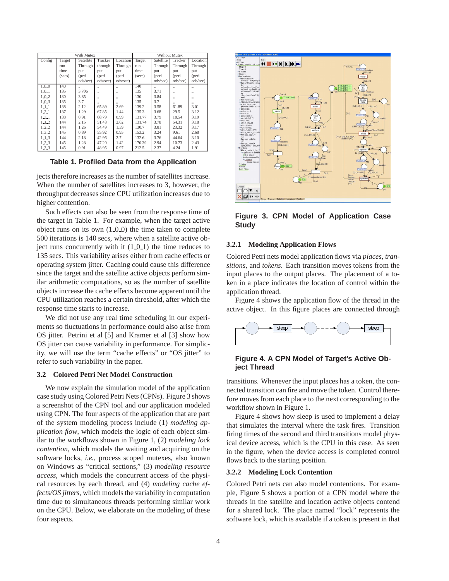| With Mutex  |        |           |          | Without Mutex |        |           |          |          |
|-------------|--------|-----------|----------|---------------|--------|-----------|----------|----------|
| Config      | Target | Satellite | Tracker  | Location      | Target | Satellite | Tracker  | Location |
|             | run    | Through-  | through- | Through-      | run    | Through-  | Through- | Through- |
|             | time   | put       | put      | put           | time   | put       | put      | put      |
|             | (secs) | (peri-    | (peri-   | (peri-        | (secs) | (peri-    | (peri-   | (peri-   |
|             |        | ods/sec)  | ods/sec) | ods/sec)      |        | ods/sec)  | ods/sec) | ods/sec) |
| 1.0.0       | 140    |           |          |               | 140    |           |          |          |
| $1 - 0 - 1$ | 135    | 3.706     |          |               | 135    | 3.71      |          |          |
| 1.0.2       | 130    | 3.85      |          | ۰             | 130    | 3.84      |          |          |
| 1,0.3       | 135    | 3.7       |          |               | 135    | 3.7       |          |          |
| $1 - 1 - 1$ | 138    | 2.12      | 65.89    | 2.69          | 139.2  | 3.58      | 61.89    | 3.01     |
| 1, 2, 1     | 137    | 1.29      | 67.85    | 1.44          | 135.3  | 3.68      | 29.5     | 3.12     |
| $1 - 3 - 1$ | 138    | 0.91      | 68.79    | 0.99          | 131.77 | 3.79      | 18.54    | 3.19     |
| $1 - 1 - 2$ | 144    | 2.15      | 51.43    | 2.62          | 131.74 | 3.78      | 54.31    | 3.18     |
| 1.2.2       | 144    | 1.26      | 54.49    | 1.39          | 130.7  | 3.81      | 23.32    | 3.17     |
| $1 - 3 - 2$ | 145    | 0.89      | 55.92    | 0.95          | 153.2  | 3.24      | 9.61     | 2.68     |
| $1 - 1 - 3$ | 144    | 2.18      | 42.96    | 2.7           | 132.6  | 3.76      | 44.64    | 3.10     |
| 123         | 145    | 1.28      | 47.20    | 1.42          | 170.39 | 2.94      | 10.73    | 2.43     |
| 133         | 145    | 0.91      | 48.95    | 0.97          | 212.5  | 2.37      | 4.24     | 1.91     |

**Table 1. Profiled Data from the Application**

jects therefore increases as the number of satellites increase. When the number of satellites increases to 3, however, the throughput decreases since CPU utilization increases due to higher contention.

Such effects can also be seen from the response time of the target in Table 1. For example, when the target active object runs on its own  $(1.0.0)$  the time taken to complete 500 iterations is 140 secs, where when a satellite active object runs concurrently with it  $(1_0_1)$  the time reduces to 135 secs. This variability arises either from cache effects or operating system jitter. Caching could cause this difference since the target and the satellite active objects perform similar arithmetic computations, so as the number of satellite objects increase the cache effects become apparent until the CPU utilization reaches a certain threshold, after which the response time starts to increase.

We did not use any real time scheduling in our experiments so fluctuations in performance could also arise from OS jitter. Petrini et al [5] and Kramer et al [3] show how OS jitter can cause variability in performance. For simplicity, we will use the term "cache effects" or "OS jitter" to refer to such variability in the paper.

#### **3.2 Colored Petri Net Model Construction**

We now explain the simulation model of the application case study using Colored Petri Nets (CPNs). Figure 3 shows a screenshot of the CPN tool and our application modeled using CPN. The four aspects of the application that are part of the system modeling process include (1) *modeling application flow*, which models the logic of each object similar to the workflows shown in Figure 1, (2) *modeling lock contention*, which models the waiting and acquiring on the software locks, *i.e.*, process scoped mutexes, also known on Windows as "critical sections," (3) *modeling resource access*, which models the concurrent access of the physical resources by each thread, and (4) *modeling cache effects/OS jitters*, which models the variability in computation time due to simultaneous threads performing similar work on the CPU. Below, we elaborate on the modeling of these four aspects.



**Figure 3. CPN Model of Application Case Study**

#### **3.2.1 Modeling Application Flows**

Colored Petri nets model application flows via *places*, *transitions*, and *tokens*. Each transition moves tokens from the input places to the output places. The placement of a token in a place indicates the location of control within the application thread.

Figure 4 shows the application flow of the thread in the active object. In this figure places are connected through



# **Figure 4. A CPN Model of Target's Active Object Thread**

transitions. Whenever the input places has a token, the connected transition can fire and move the token. Control therefore moves from each place to the next corresponding to the workflow shown in Figure 1.

Figure 4 shows how sleep is used to implement a delay that simulates the interval where the task fires. Transition firing times of the second and third transitions model physical device access, which is the CPU in this case. As seen in the figure, when the device access is completed control flows back to the starting position.

#### **3.2.2 Modeling Lock Contention**

Colored Petri nets can also model contentions. For example, Figure 5 shows a portion of a CPN model where the threads in the satellite and location active objects contend for a shared lock. The place named "lock" represents the software lock, which is available if a token is present in that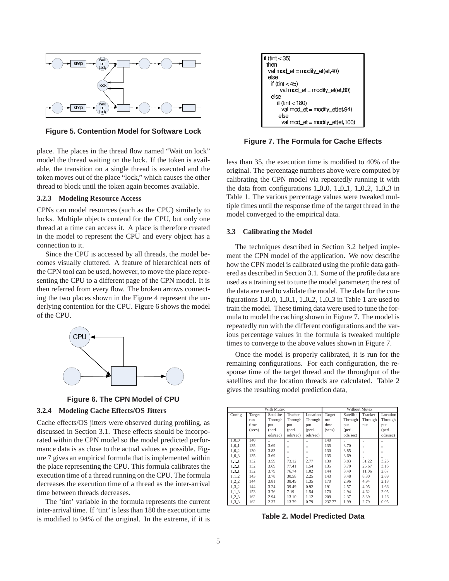

**Figure 5. Contention Model for Software Lock**

place. The places in the thread flow named "Wait on lock" model the thread waiting on the lock. If the token is available, the transition on a single thread is executed and the token moves out of the place "lock," which causes the other thread to block until the token again becomes available.

## **3.2.3 Modeling Resource Access**

CPNs can model resources (such as the CPU) similarly to locks. Multiple objects contend for the CPU, but only one thread at a time can access it. A place is therefore created in the model to represent the CPU and every object has a connection to it.

Since the CPU is accessed by all threads, the model becomes visually cluttered. A feature of hierarchical nets of the CPN tool can be used, however, to move the place representing the CPU to a different page of the CPN model. It is then referred from every flow. The broken arrows connecting the two places shown in the Figure 4 represent the underlying contention for the CPU. Figure 6 shows the model of the CPU.





## **3.2.4 Modeling Cache Effects/OS Jitters**

Cache effects/OS jitters were observed during profiling, as discussed in Section 3.1. These effects should be incorporated within the CPN model so the model predicted performance data is as close to the actual values as possible. Figure 7 gives an empirical formula that is implemented within the place representing the CPU. This formula calibrates the execution time of a thread running on the CPU. The formula decreases the execution time of a thread as the inter-arrival time between threads decreases.

The 'tint' variable in the formula represents the current inter-arrival time. If 'tint' is less than 180 the execution time is modified to 94% of the original. In the extreme, if it is



**Figure 7. The Formula for Cache Effects**

less than 35, the execution time is modified to 40% of the original. The percentage numbers above were computed by calibrating the CPN model via repeatedly running it with the data from configurations  $1.0.0$ ,  $1.0.1$ ,  $1.0.2$ ,  $1.0.3$  in Table 1. The various percentage values were tweaked multiple times until the response time of the target thread in the model converged to the empirical data.

#### **3.3 Calibrating the Model**

The techniques described in Section 3.2 helped implement the CPN model of the application. We now describe how the CPN model is calibrated using the profile data gathered as described in Section 3.1. Some of the profile data are used as a training set to tune the model parameter; the rest of the data are used to validate the model. The data for the configurations  $1 \t0 \t0$ ,  $1 \t0 \t1$ ,  $1 \t0 \t2$ ,  $1 \t0 \t3$  in Table 1 are used to train the model. These timing data were used to tune the formula to model the caching shown in Figure 7. The model is repeatedly run with the different configurations and the various percentage values in the formula is tweaked multiple times to converge to the above values shown in Figure 7.

Once the model is properly calibrated, it is run for the remaining configurations. For each configuration, the response time of the target thread and the throughput of the satellites and the location threads are calculated. Table 2 gives the resulting model prediction data,

| With Mutex  |        |           |          | <b>Without Mutex</b> |        |           |          |          |
|-------------|--------|-----------|----------|----------------------|--------|-----------|----------|----------|
| Config      | Target | Satellite | Tracker  | Location             | Target | Satellite | Tracker  | Location |
|             | run    | Through-  | Through- | Through-             | run    | Through-  | Through- | Through- |
|             | time   | put       | put      | put                  | time   | put       | put      | put      |
|             | (secs) | (peri-    | (peri-   | (peri-               | (secs) | (peri-    |          | (peri-   |
|             |        | ods/sec)  | ods/sec) | ods/sec)             |        | ods/sec)  |          | ods/sec) |
| 100         | 140    |           |          | -                    | 140    |           |          |          |
| 1.0.1       | 135    | 3.69      |          |                      | 135    | 3.70      |          |          |
| $1 - 0 - 2$ | 130    | 3.83      |          | -                    | 130    | 3.85      | -        |          |
| 1,0,3       | 135    | 3.69      |          |                      | 135    | 3.69      |          |          |
| $1 - 1 - 1$ | 132    | 3.59      | 73.12    | 2.77                 | 130    | 3.83      | 51.22    | 3.26     |
| $1 - 2 - 1$ | 132    | 3.69      | 77.41    | 1.54                 | 135    | 3.70      | 25.67    | 3.16     |
| $1 - 3 - 1$ | 132    | 3.79      | 76.74    | 1.02                 | 144    | 3.49      | 11.06    | 2.87     |
| $1 - 1 - 2$ | 143    | 3.78      | 30.58    | 2.25                 | 143    | 3.48      | 8.30     | 2.89     |
| $1 - 2 - 2$ | 144    | 3.81      | 38.49    | 1.35                 | 170    | 2.96      | 4.94     | 2.18     |
| 132         | 144    | 3.24      | 39.49    | 0.92                 | 191    | 2.57      | 4.05     | 1.66     |
| $1 - 1 - 3$ | 153    | 3.76      | 7.19     | 1.54                 | 170    | 2.94      | 4.62     | 2.05     |
| $1 - 2 - 3$ | 162    | 2.94      | 13.10    | 1.12                 | 209    | 2.37      | 3.39     | 1.26     |
| 133         | 162    | 2.37      | 13.79    | 0.79                 | 237.77 | 1.99      | 2.79     | 0.95     |

**Table 2. Model Predicted Data**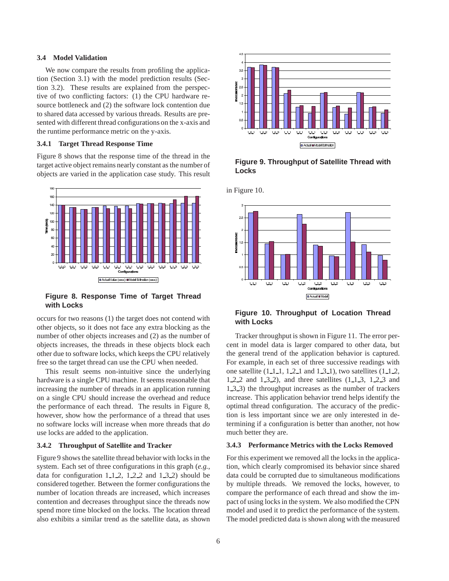#### **3.4 Model Validation**

We now compare the results from profiling the application (Section 3.1) with the model prediction results (Section 3.2). These results are explained from the perspective of two conflicting factors: (1) the CPU hardware resource bottleneck and (2) the software lock contention due to shared data accessed by various threads. Results are presented with different thread configurations on the x-axis and the runtime performance metric on the y-axis.

#### **3.4.1 Target Thread Response Time**

Figure 8 shows that the response time of the thread in the target active object remains nearly constant as the number of objects are varied in the application case study. This result



## **Figure 8. Response Time of Target Thread with Locks**

occurs for two reasons (1) the target does not contend with other objects, so it does not face any extra blocking as the number of other objects increases and (2) as the number of objects increases, the threads in these objects block each other due to software locks, which keeps the CPU relatively free so the target thread can use the CPU when needed.

This result seems non-intuitive since the underlying hardware is a single CPU machine. It seems reasonable that increasing the number of threads in an application running on a single CPU should increase the overhead and reduce the performance of each thread. The results in Figure 8, however, show how the performance of a thread that uses no software locks will increase when more threads that *do* use locks are added to the application.

#### **3.4.2 Throughput of Satellite and Tracker**

Figure 9 shows the satellite thread behavior with locks in the system. Each set of three configurations in this graph (*e.g.*, data for configuration  $1 \text{--} 1 \text{--} 2$ ,  $1 \text{--} 2 \text{--} 2$  and  $1 \text{--} 3 \text{--} 2$ ) should be considered together. Between the former configurations the number of location threads are increased, which increases contention and decreases throughput since the threads now spend more time blocked on the locks. The location thread also exhibits a similar trend as the satellite data, as shown



**Figure 9. Throughput of Satellite Thread with Locks**



## **Figure 10. Throughput of Location Thread with Locks**

Tracker throughput is shown in Figure 11. The error percent in model data is larger compared to other data, but the general trend of the application behavior is captured. For example, in each set of three successive readings with one satellite  $(1 \ 1 \ 1, 1 \ 2 \ 1$  and  $1 \ 3 \ 1)$ , two satellites  $(1 \ 1 \ 2, 1)$ 1 2 2 and 1 3 2), and three satellites (1 1 3, 1 2 3 and 1 3 3) the throughput increases as the number of trackers increase. This application behavior trend helps identify the optimal thread configuration. The accuracy of the prediction is less important since we are only interested in determining if a configuration is better than another, not how much better they are.

#### **3.4.3 Performance Metrics with the Locks Removed**

For this experiment we removed all the locks in the application, which clearly compromised its behavior since shared data could be corrupted due to simultaneous modifications by multiple threads. We removed the locks, however, to compare the performance of each thread and show the impact of using locks in the system. We also modified the CPN model and used it to predict the performance of the system. The model predicted data is shown along with the measured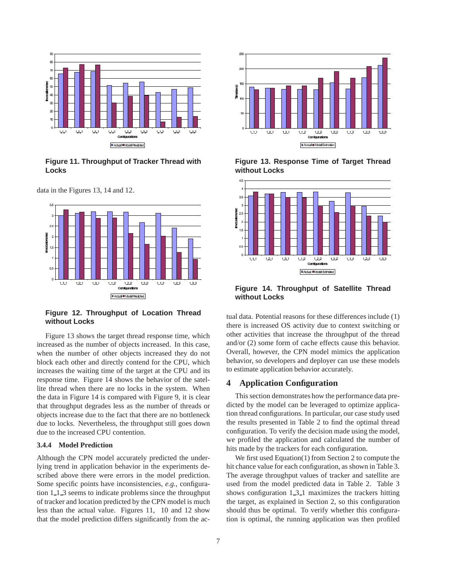

**Figure 11. Throughput of Tracker Thread with Locks**





**Figure 12. Throughput of Location Thread without Locks**

Figure 13 shows the target thread response time, which increased as the number of objects increased. In this case, when the number of other objects increased they do not block each other and directly contend for the CPU, which increases the waiting time of the target at the CPU and its response time. Figure 14 shows the behavior of the satellite thread when there are no locks in the system. When the data in Figure 14 is compared with Figure 9, it is clear that throughput degrades less as the number of threads or objects increase due to the fact that there are no bottleneck due to locks. Nevertheless, the throughput still goes down due to the increased CPU contention.

## **3.4.4 Model Prediction**

Although the CPN model accurately predicted the underlying trend in application behavior in the experiments described above there were errors in the model prediction. Some specific points have inconsistencies, *e.g.*, configuration 1 1 3 seems to indicate problems since the throughput of tracker and location predicted by the CPN model is much less than the actual value. Figures 11, 10 and 12 show that the model prediction differs significantly from the ac-



**Figure 13. Response Time of Target Thread without Locks**



**Figure 14. Throughput of Satellite Thread without Locks**

tual data. Potential reasons for these differences include (1) there is increased OS activity due to context switching or other activities that increase the throughput of the thread and/or (2) some form of cache effects cause this behavior. Overall, however, the CPN model mimics the application behavior, so developers and deployer can use these models to estimate application behavior accurately.

## **4 Application Configuration**

This section demonstrates how the performance data predicted by the model can be leveraged to optimize application thread configurations. In particular, our case study used the results presented in Table 2 to find the optimal thread configuration. To verify the decision made using the model, we profiled the application and calculated the number of hits made by the trackers for each configuration.

We first used Equation(1) from Section 2 to compute the hit chance value for each configuration, as shown in Table 3. The average throughput values of tracker and satellite are used from the model predicted data in Table 2. Table 3 shows configuration  $1_3_1$  maximizes the trackers hitting the target, as explained in Section 2, so this configuration should thus be optimal. To verify whether this configuration is optimal, the running application was then profiled